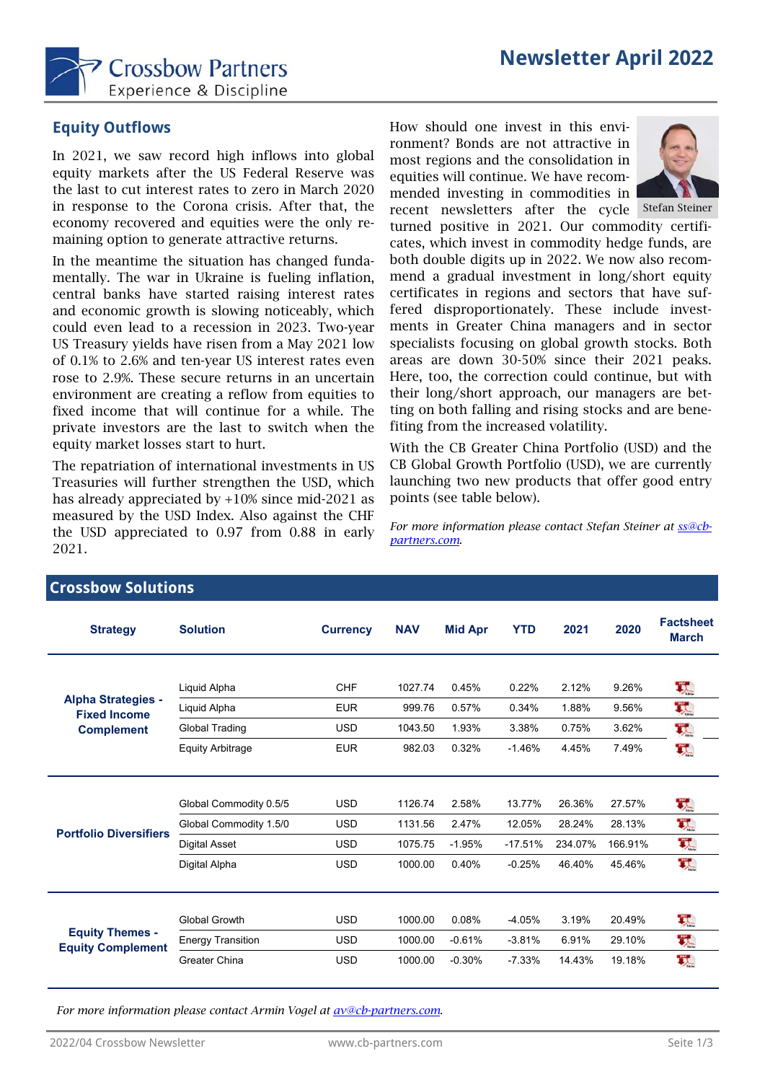

### **Equity Outflows**

In 2021, we saw record high inflows into global equity markets after the US Federal Reserve was the last to cut interest rates to zero in March 2020 in response to the Corona crisis. After that, the economy recovered and equities were the only remaining option to generate attractive returns.

In the meantime the situation has changed fundamentally. The war in Ukraine is fueling inflation, central banks have started raising interest rates and economic growth is slowing noticeably, which could even lead to a recession in 2023. Two-year US Treasury yields have risen from a May 2021 low of 0.1% to 2.6% and ten-year US interest rates even rose to 2.9%. These secure returns in an uncertain environment are creating a reflow from equities to fixed income that will continue for a while. The private investors are the last to switch when the equity market losses start to hurt.

The repatriation of international investments in US Treasuries will further strengthen the USD, which has already appreciated by +10% since mid-2021 as measured by the USD Index. Also against the CHF the USD appreciated to 0.97 from 0.88 in early 2021.

How should one invest in this environment? Bonds are not attractive in most regions and the consolidation in equities will continue. We have recommended investing in commodities in



recent newsletters after the cycle Stefan Steiner turned positive in 2021. Our commodity certificates, which invest in commodity hedge funds, are both double digits up in 2022. We now also recommend a gradual investment in long/short equity certificates in regions and sectors that have suffered disproportionately. These include investments in Greater China managers and in sector specialists focusing on global growth stocks. Both areas are down 30-50% since their 2021 peaks. Here, too, the correction could continue, but with their long/short approach, our managers are betting on both falling and rising stocks and are benefiting from the increased volatility.

With the CB Greater China Portfolio (USD) and the CB Global Growth Portfolio (USD), we are currently launching two new products that offer good entry points (see table below).

*For more information please contact Stefan Steiner at ss@cbpartners.com.*

| <b>Strategy</b>                                                       | <b>Solution</b>          | <b>Currency</b> | <b>NAV</b> | <b>Mid Apr</b> | <b>YTD</b> | 2021    | 2020    | <b>Factsheet</b><br><b>March</b> |
|-----------------------------------------------------------------------|--------------------------|-----------------|------------|----------------|------------|---------|---------|----------------------------------|
|                                                                       |                          |                 |            |                |            |         |         |                                  |
| <b>Alpha Strategies -</b><br><b>Fixed Income</b><br><b>Complement</b> | Liquid Alpha             | <b>CHF</b>      | 1027.74    | 0.45%          | 0.22%      | 2.12%   | 9.26%   | 头                                |
|                                                                       | Liquid Alpha             | <b>EUR</b>      | 999.76     | 0.57%          | 0.34%      | 1.88%   | 9.56%   | 叺                                |
|                                                                       | Global Trading           | <b>USD</b>      | 1043.50    | 1.93%          | 3.38%      | 0.75%   | 3.62%   | ᅐ                                |
|                                                                       | <b>Equity Arbitrage</b>  | <b>EUR</b>      | 982.03     | 0.32%          | $-1.46%$   | 4.45%   | 7.49%   | 픿                                |
|                                                                       |                          |                 |            |                |            |         |         |                                  |
| <b>Portfolio Diversifiers</b>                                         | Global Commodity 0.5/5   | <b>USD</b>      | 1126.74    | 2.58%          | 13.77%     | 26.36%  | 27.57%  | 天                                |
|                                                                       | Global Commodity 1.5/0   | <b>USD</b>      | 1131.56    | 2.47%          | 12.05%     | 28.24%  | 28.13%  | 픿                                |
|                                                                       | <b>Digital Asset</b>     | <b>USD</b>      | 1075.75    | $-1.95%$       | $-17.51%$  | 234.07% | 166.91% | 璞                                |
|                                                                       | Digital Alpha            | <b>USD</b>      | 1000.00    | 0.40%          | $-0.25%$   | 46.40%  | 45.46%  | 픿                                |
|                                                                       |                          |                 |            |                |            |         |         |                                  |
| <b>Equity Themes -</b><br><b>Equity Complement</b>                    | <b>Global Growth</b>     | <b>USD</b>      | 1000.00    | 0.08%          | $-4.05%$   | 3.19%   | 20.49%  | 픿                                |
|                                                                       | <b>Energy Transition</b> | <b>USD</b>      | 1000.00    | $-0.61%$       | $-3.81%$   | 6.91%   | 29.10%  | 误                                |
|                                                                       | Greater China            | <b>USD</b>      | 1000.00    | $-0.30%$       | $-7.33%$   | 14.43%  | 19.18%  | 玖                                |
|                                                                       |                          |                 |            |                |            |         |         |                                  |

*For more information please contact Armin Vogel at av@cb-partners.com.*

**Crossbow Solutions**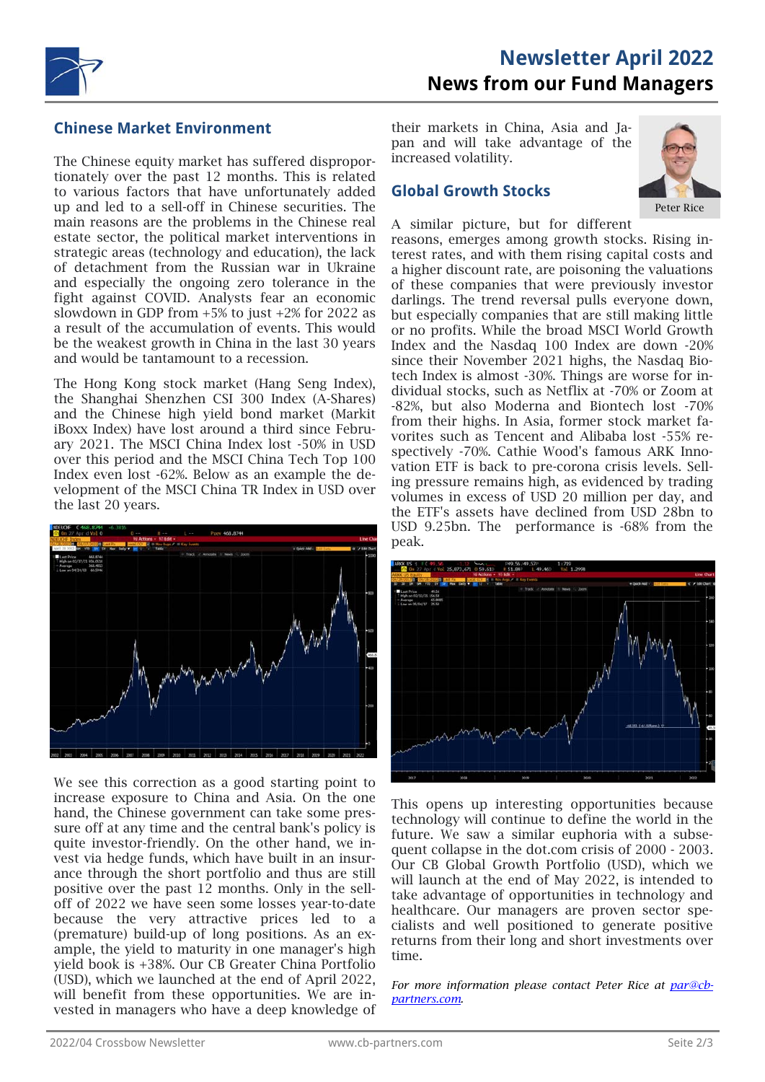

#### **Chinese Market Environment**

The Chinese equity market has suffered disproportionately over the past 12 months. This is related to various factors that have unfortunately added up and led to a sell-off in Chinese securities. The main reasons are the problems in the Chinese real estate sector, the political market interventions in strategic areas (technology and education), the lack of detachment from the Russian war in Ukraine and especially the ongoing zero tolerance in the fight against COVID. Analysts fear an economic slowdown in GDP from +5% to just +2% for 2022 as a result of the accumulation of events. This would be the weakest growth in China in the last 30 years and would be tantamount to a recession.

The Hong Kong stock market (Hang Seng Index), the Shanghai Shenzhen CSI 300 Index (A-Shares) and the Chinese high yield bond market (Markit iBoxx Index) have lost around a third since February 2021. The MSCI China Index lost -50% in USD over this period and the MSCI China Tech Top 100 Index even lost -62%. Below as an example the development of the MSCI China TR Index in USD over the last 20 years.



We see this correction as a good starting point to increase exposure to China and Asia. On the one hand, the Chinese government can take some pressure off at any time and the central bank's policy is quite investor-friendly. On the other hand, we invest via hedge funds, which have built in an insurance through the short portfolio and thus are still positive over the past 12 months. Only in the selloff of 2022 we have seen some losses year-to-date because the very attractive prices led to a (premature) build-up of long positions. As an example, the yield to maturity in one manager's high yield book is +38%. Our CB Greater China Portfolio (USD), which we launched at the end of April 2022, will benefit from these opportunities. We are invested in managers who have a deep knowledge of their markets in China, Asia and Japan and will take advantage of the increased volatility.

#### **Global Growth Stocks**



A similar picture, but for different

reasons, emerges among growth stocks. Rising interest rates, and with them rising capital costs and a higher discount rate, are poisoning the valuations of these companies that were previously investor darlings. The trend reversal pulls everyone down, but especially companies that are still making little or no profits. While the broad MSCI World Growth Index and the Nasdaq 100 Index are down -20% since their November 2021 highs, the Nasdaq Biotech Index is almost -30%. Things are worse for individual stocks, such as Netflix at -70% or Zoom at -82%, but also Moderna and Biontech lost -70% from their highs. In Asia, former stock market favorites such as Tencent and Alibaba lost -55% respectively -70%. Cathie Wood's famous ARK Innovation ETF is back to pre-corona crisis levels. Selling pressure remains high, as evidenced by trading volumes in excess of USD 20 million per day, and the ETF's assets have declined from USD 28bn to USD 9.25bn. The performance is -68% from the peak.



This opens up interesting opportunities because technology will continue to define the world in the future. We saw a similar euphoria with a subsequent collapse in the dot.com crisis of 2000 - 2003. Our CB Global Growth Portfolio (USD), which we will launch at the end of May 2022, is intended to take advantage of opportunities in technology and healthcare. Our managers are proven sector specialists and well positioned to generate positive returns from their long and short investments over time.

*For more information please contact Peter Rice at par@cbpartners.com.*